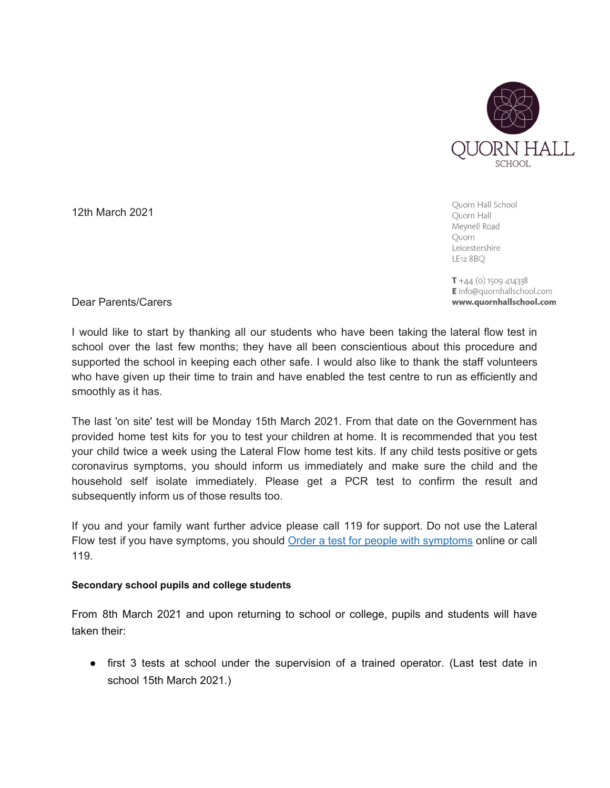

12th March 2021

Ouorn Hall School Quorn Hall Meynell Road Quorn Leicestershire LE12 8 BQ

 $T + 44$  (o) 1509 414338 E info@quornhallschool.com www.quornhallschool.com

Dear Parents/Carers

I would like to start by thanking all our students who have been taking the lateral flow test in school over the last few months; they have all been conscientious about this procedure and supported the school in keeping each other safe. I would also like to thank the staff volunteers who have given up their time to train and have enabled the test centre to run as efficiently and smoothly as it has.

The last 'on site' test will be Monday 15th March 2021. From that date on the Government has provided home test kits for you to test your children at home. It is recommended that you test your child twice a week using the Lateral Flow home test kits. If any child tests positive or gets coronavirus symptoms, you should inform us immediately and make sure the child and the household self isolate immediately. Please get a PCR test to confirm the result and subsequently inform us of those results too.

If you and your family want further advice please call 119 for support. Do not use the Lateral Flow test if you have [symptoms](https://www.gov.uk/get-coronavirus-test), you should Order a test for people with symptoms online or call 119.

## **Secondary school pupils and college students**

From 8th March 2021 and upon returning to school or college, pupils and students will have taken their:

● first 3 tests at school under the supervision of a trained operator. (Last test date in school 15th March 2021.)